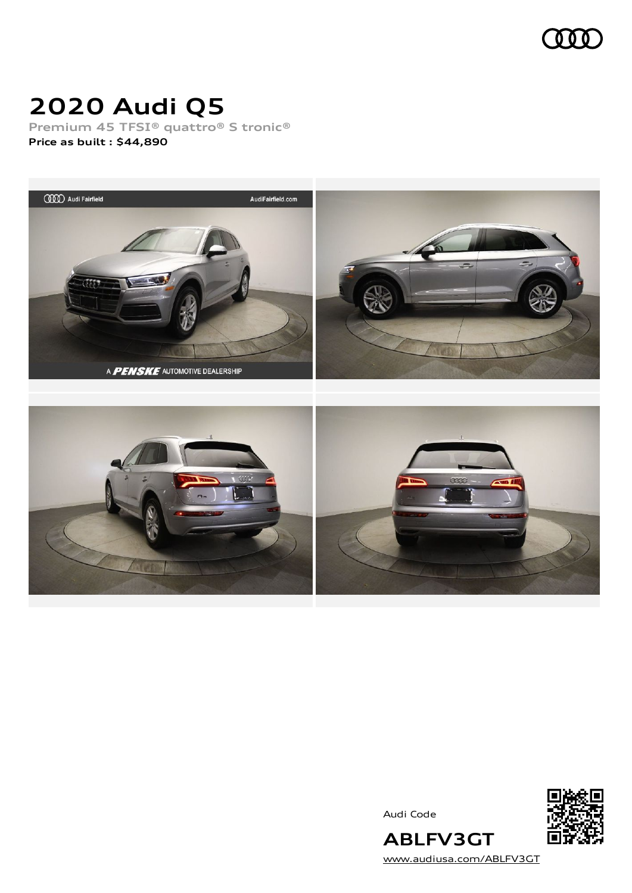

## **2020 Audi Q5**

**Premium 45 TFSI® quattro® S tronic® Price as built [:](#page-8-0) \$44,890**



Audi Code



**ABLFV3GT** [www.audiusa.com/ABLFV3GT](https://www.audiusa.com/ABLFV3GT)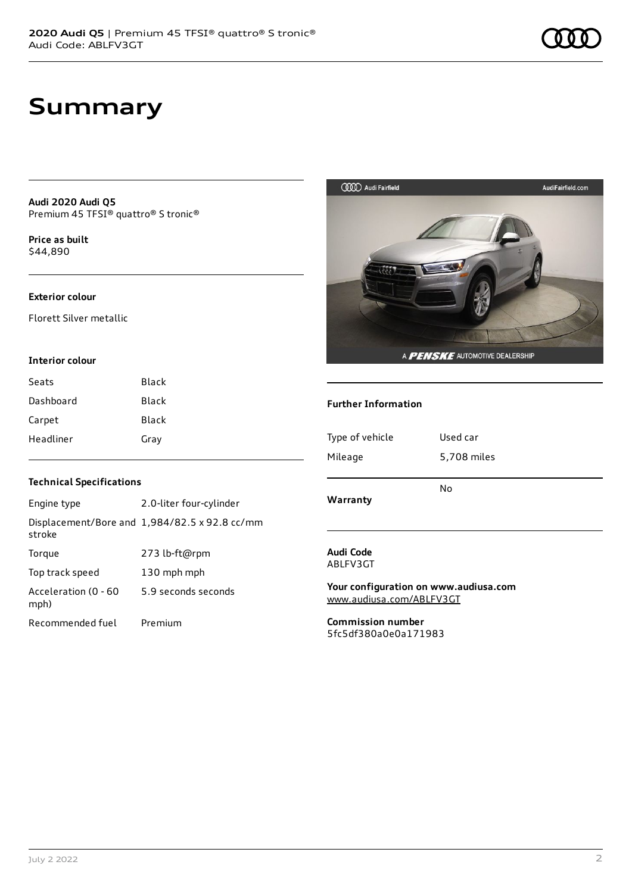**Audi 2020 Audi Q5** Premium 45 TFSI® quattro® S tronic®

**Price as buil[t](#page-8-0)** \$44,890

#### **Exterior colour**

Florett Silver metallic

#### **Interior colour**

| Seats     | Black |
|-----------|-------|
| Dashboard | Black |
| Carpet    | Black |
| Headliner | Gray  |



#### **Further Information**

| Type of vehicle | Used car    |
|-----------------|-------------|
| Mileage         | 5,708 miles |
| Warranty        | No          |

#### **Audi Code** ABLFV3GT

**Your configuration on www.audiusa.com** [www.audiusa.com/ABLFV3GT](https://www.audiusa.com/ABLFV3GT)

**Commission number** 5fc5df380a0e0a171983

#### **Technical Specifications**

| Engine type                  | 2.0-liter four-cylinder                       |
|------------------------------|-----------------------------------------------|
| stroke                       | Displacement/Bore and 1,984/82.5 x 92.8 cc/mm |
| Torque                       | 273 lb-ft@rpm                                 |
| Top track speed              | 130 mph mph                                   |
| Acceleration (0 - 60<br>mph) | 5.9 seconds seconds                           |
| Recommended fuel             | Premium                                       |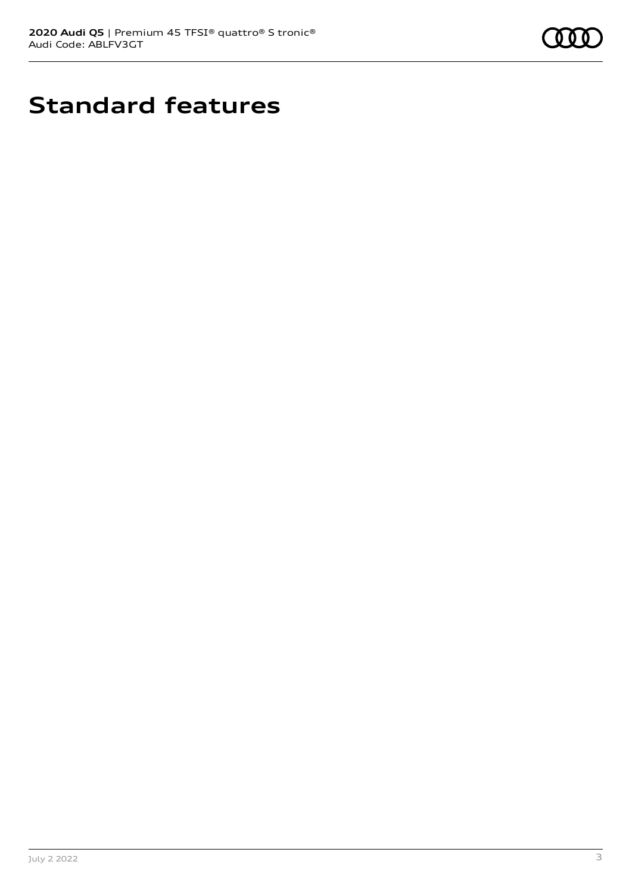

# **Standard features**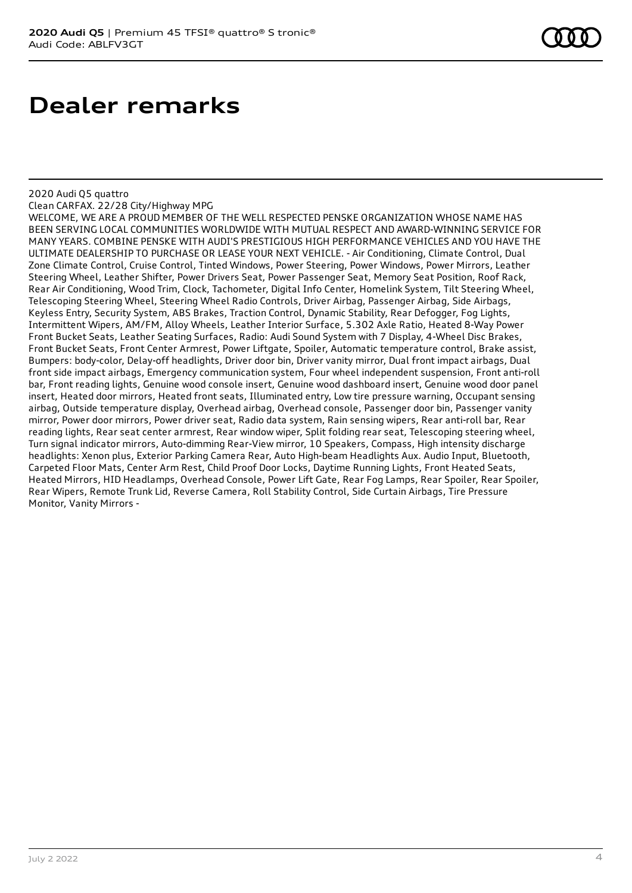### **Dealer remarks**

2020 Audi Q5 quattro

Clean CARFAX. 22/28 City/Highway MPG

WELCOME, WE ARE A PROUD MEMBER OF THE WELL RESPECTED PENSKE ORGANIZATION WHOSE NAME HAS BEEN SERVING LOCAL COMMUNITIES WORLDWIDE WITH MUTUAL RESPECT AND AWARD-WINNING SERVICE FOR MANY YEARS. COMBINE PENSKE WITH AUDI'S PRESTIGIOUS HIGH PERFORMANCE VEHICLES AND YOU HAVE THE ULTIMATE DEALERSHIP TO PURCHASE OR LEASE YOUR NEXT VEHICLE. - Air Conditioning, Climate Control, Dual Zone Climate Control, Cruise Control, Tinted Windows, Power Steering, Power Windows, Power Mirrors, Leather Steering Wheel, Leather Shifter, Power Drivers Seat, Power Passenger Seat, Memory Seat Position, Roof Rack, Rear Air Conditioning, Wood Trim, Clock, Tachometer, Digital Info Center, Homelink System, Tilt Steering Wheel, Telescoping Steering Wheel, Steering Wheel Radio Controls, Driver Airbag, Passenger Airbag, Side Airbags, Keyless Entry, Security System, ABS Brakes, Traction Control, Dynamic Stability, Rear Defogger, Fog Lights, Intermittent Wipers, AM/FM, Alloy Wheels, Leather Interior Surface, 5.302 Axle Ratio, Heated 8-Way Power Front Bucket Seats, Leather Seating Surfaces, Radio: Audi Sound System with 7 Display, 4-Wheel Disc Brakes, Front Bucket Seats, Front Center Armrest, Power Liftgate, Spoiler, Automatic temperature control, Brake assist, Bumpers: body-color, Delay-off headlights, Driver door bin, Driver vanity mirror, Dual front impact airbags, Dual front side impact airbags, Emergency communication system, Four wheel independent suspension, Front anti-roll bar, Front reading lights, Genuine wood console insert, Genuine wood dashboard insert, Genuine wood door panel insert, Heated door mirrors, Heated front seats, Illuminated entry, Low tire pressure warning, Occupant sensing airbag, Outside temperature display, Overhead airbag, Overhead console, Passenger door bin, Passenger vanity mirror, Power door mirrors, Power driver seat, Radio data system, Rain sensing wipers, Rear anti-roll bar, Rear reading lights, Rear seat center armrest, Rear window wiper, Split folding rear seat, Telescoping steering wheel, Turn signal indicator mirrors, Auto-dimming Rear-View mirror, 10 Speakers, Compass, High intensity discharge headlights: Xenon plus, Exterior Parking Camera Rear, Auto High-beam Headlights Aux. Audio Input, Bluetooth, Carpeted Floor Mats, Center Arm Rest, Child Proof Door Locks, Daytime Running Lights, Front Heated Seats, Heated Mirrors, HID Headlamps, Overhead Console, Power Lift Gate, Rear Fog Lamps, Rear Spoiler, Rear Spoiler, Rear Wipers, Remote Trunk Lid, Reverse Camera, Roll Stability Control, Side Curtain Airbags, Tire Pressure Monitor, Vanity Mirrors -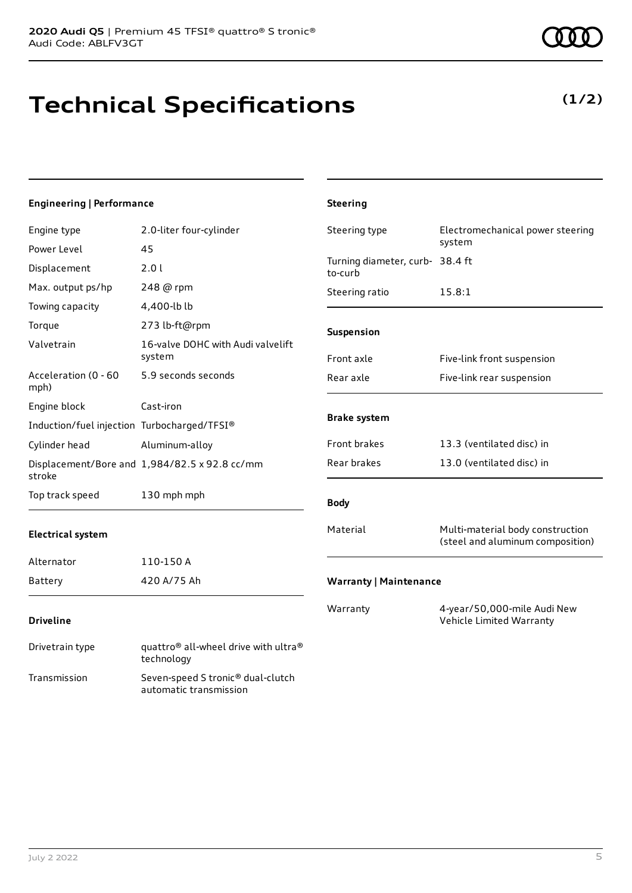Transmission Seven-speed S tronic® dual-clutch

automatic transmission

# **Technical Specifications**

#### **Engineering | Performance**

| Engine type                                 | 2.0-liter four-cylinder                                                    | Steering type                              | Electromechanical power steering<br>system                           |
|---------------------------------------------|----------------------------------------------------------------------------|--------------------------------------------|----------------------------------------------------------------------|
| Power Level                                 | 45                                                                         |                                            |                                                                      |
| Displacement                                | 2.01                                                                       | Turning diameter, curb- 38.4 ft<br>to-curb |                                                                      |
| Max. output ps/hp                           | 248 @ rpm                                                                  | Steering ratio                             | 15.8:1                                                               |
| Towing capacity                             | 4,400-lb lb                                                                |                                            |                                                                      |
| Torque                                      | 273 lb-ft@rpm                                                              | Suspension                                 |                                                                      |
| Valvetrain                                  | 16-valve DOHC with Audi valvelift<br>system                                | Front axle                                 | Five-link front suspension                                           |
| Acceleration (0 - 60<br>mph)                | 5.9 seconds seconds                                                        | Rear axle                                  | Five-link rear suspension                                            |
| Engine block                                | Cast-iron                                                                  |                                            |                                                                      |
| Induction/fuel injection Turbocharged/TFSI® |                                                                            | <b>Brake system</b>                        |                                                                      |
| Cylinder head                               | Aluminum-alloy                                                             | Front brakes                               | 13.3 (ventilated disc) in                                            |
| stroke                                      | Displacement/Bore and 1,984/82.5 x 92.8 cc/mm                              | Rear brakes                                | 13.0 (ventilated disc) in                                            |
| Top track speed                             | 130 mph mph                                                                | <b>Body</b>                                |                                                                      |
| <b>Electrical system</b>                    |                                                                            | Material                                   | Multi-material body construction<br>(steel and aluminum composition) |
| Alternator                                  | 110-150 A                                                                  |                                            |                                                                      |
| Battery                                     | 420 A/75 Ah                                                                | <b>Warranty   Maintenance</b>              |                                                                      |
| <b>Driveline</b>                            |                                                                            | Warranty                                   | 4-year/50,000-mile Audi New<br>Vehicle Limited Warranty              |
| Drivetrain type                             | quattro <sup>®</sup> all-wheel drive with ultra <sup>®</sup><br>technology |                                            |                                                                      |

**Steering**

# **(1/2)**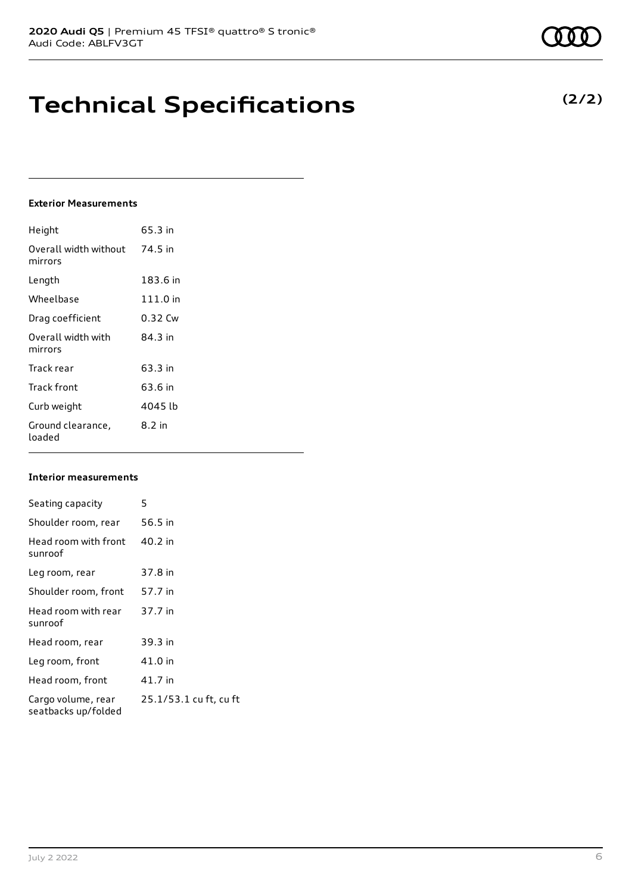### **Technical Specifications**

#### **Exterior Measurements**

| Height                           | 65.3 in  |
|----------------------------------|----------|
| Overall width without<br>mirrors | 74.5 in  |
| Length                           | 183.6 in |
| Wheelbase                        | 111.0 in |
| Drag coefficient                 | 0.32 Cw  |
| Overall width with<br>mirrors    | 84 3 in  |
| Track rear                       | 63.3 in  |
| Track front                      | 63.6 in  |
| Curb weight                      | 4045 lb  |
| Ground clearance,<br>loaded      | 8.2 in   |

#### **Interior measurements**

| Seating capacity                          | 5                      |
|-------------------------------------------|------------------------|
| Shoulder room, rear                       | 56.5 in                |
| Head room with front<br>sunroof           | 40.2 in                |
| Leg room, rear                            | 37.8 in                |
| Shoulder room, front                      | 57.7 in                |
| Head room with rear<br>sunroof            | 37.7 in                |
| Head room, rear                           | 39.3 in                |
| Leg room, front                           | 41.0 in                |
| Head room, front                          | 41.7 in                |
| Cargo volume, rear<br>seatbacks up/folded | 25.1/53.1 cu ft, cu ft |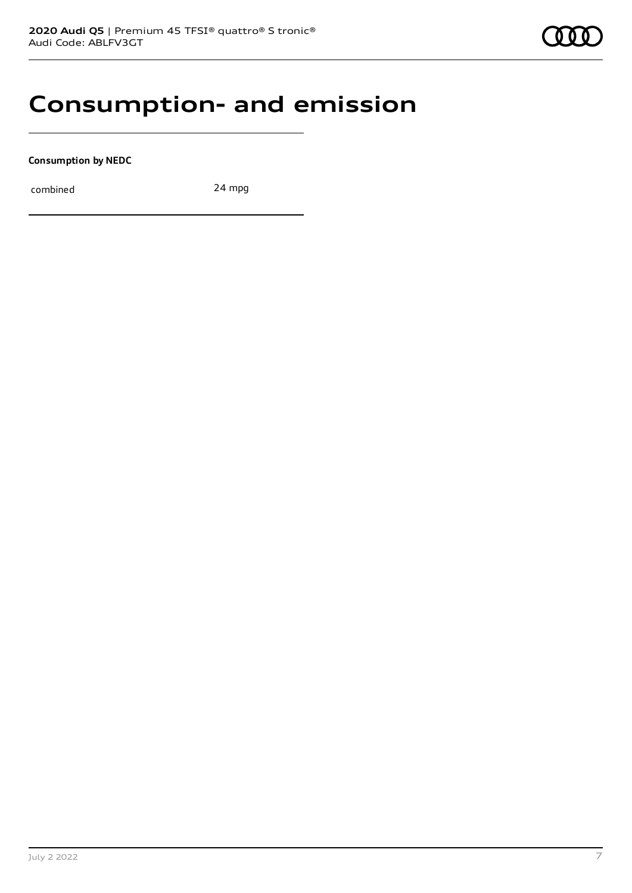### **Consumption- and emission**

**Consumption by NEDC**

combined 24 mpg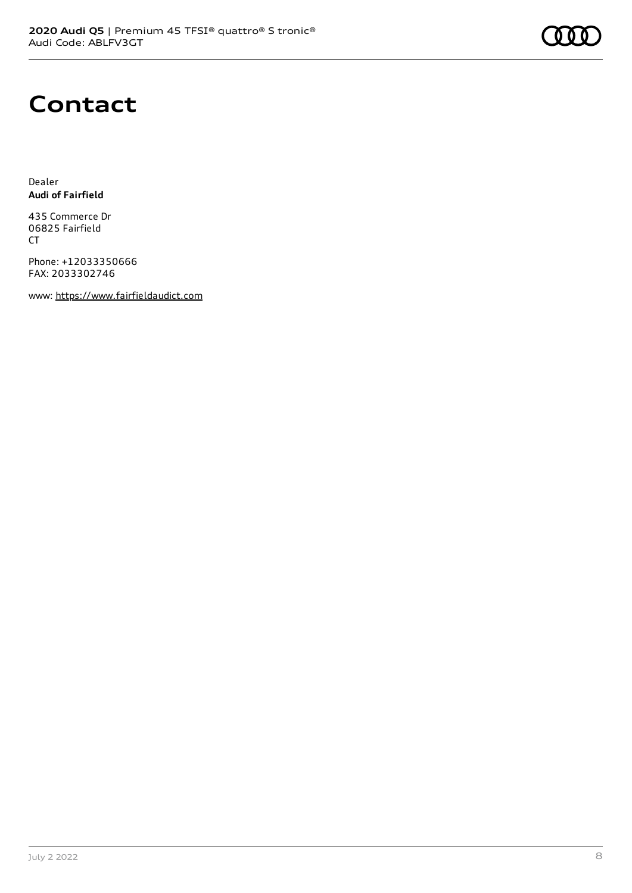

### **Contact**

Dealer **Audi of Fairfield**

435 Commerce Dr 06825 Fairfield CT

Phone: +12033350666 FAX: 2033302746

www: [https://www.fairfieldaudict.com](https://www.fairfieldaudict.com/)